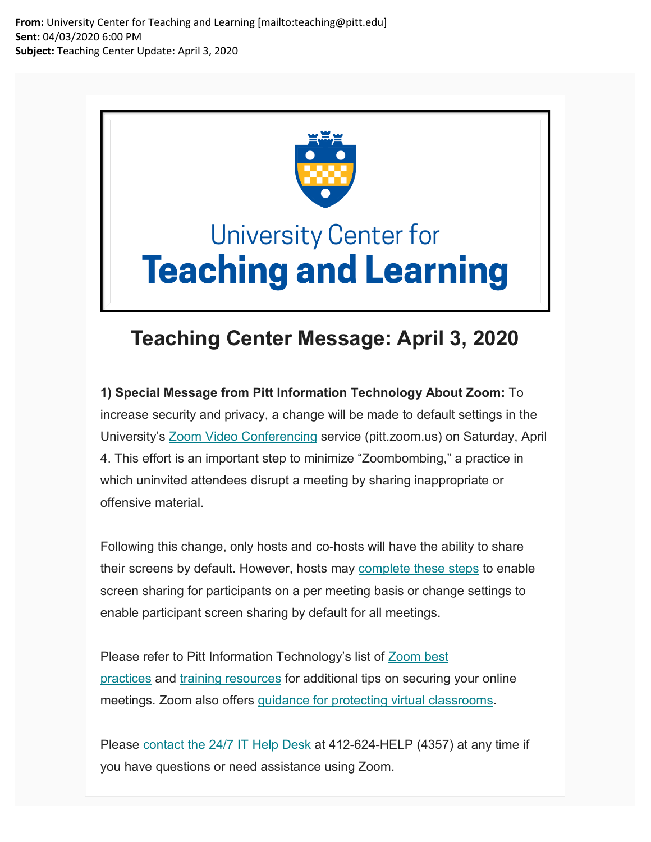**From:** University Center for Teaching and Learning [mailto:teaching@pitt.edu] **Sent:** 04/03/2020 6:00 PM **Subject:** Teaching Center Update: April 3, 2020



## **University Center for Teaching and Learning**

## **Teaching Center Message: April 3, 2020**

**1) Special Message from Pitt Information Technology About Zoom:** To increase security and privacy, a change will be made to default settings in the University's [Zoom Video Conferencing](https://nam05.safelinks.protection.outlook.com/?url=https%3A%2F%2Fpitt.us11.list-manage.com%2Ftrack%2Fclick%3Fu%3D7ffe6d64cc382ff1672f20448%26id%3D482a02592e%26e%3Dde6041e250&data=02%7C01%7Cjoeg%40pitt.edu%7Ca8dac1807d724d1cb84c08d7d81bb792%7C9ef9f489e0a04eeb87cc3a526112fd0d%7C1%7C0%7C637215485866980402&sdata=D03%2Bw9Y2SK0jbpbyluSdUe9daddH7N%2Fr1%2FjRnH7WstU%3D&reserved=0) service (pitt.zoom.us) on Saturday, April 4. This effort is an important step to minimize "Zoombombing," a practice in which uninvited attendees disrupt a meeting by sharing inappropriate or offensive material.

Following this change, only hosts and co-hosts will have the ability to share their screens by default. However, hosts may [complete these steps](https://nam05.safelinks.protection.outlook.com/?url=https%3A%2F%2Fpitt.us11.list-manage.com%2Ftrack%2Fclick%3Fu%3D7ffe6d64cc382ff1672f20448%26id%3D21af2b8a50%26e%3Dde6041e250&data=02%7C01%7Cjoeg%40pitt.edu%7Ca8dac1807d724d1cb84c08d7d81bb792%7C9ef9f489e0a04eeb87cc3a526112fd0d%7C1%7C0%7C637215485866980402&sdata=Al%2FjvaE2eAyboLl39Rix5thmRgj3QJ8DZ09eoas1TJo%3D&reserved=0) to enable screen sharing for participants on a per meeting basis or change settings to enable participant screen sharing by default for all meetings.

Please refer to Pitt Information Technology's list of Zoom best [practices](https://nam05.safelinks.protection.outlook.com/?url=https%3A%2F%2Fpitt.us11.list-manage.com%2Ftrack%2Fclick%3Fu%3D7ffe6d64cc382ff1672f20448%26id%3Dde66a419bb%26e%3Dde6041e250&data=02%7C01%7Cjoeg%40pitt.edu%7Ca8dac1807d724d1cb84c08d7d81bb792%7C9ef9f489e0a04eeb87cc3a526112fd0d%7C1%7C0%7C637215485866990395&sdata=Op1wNiphOD8cvkY8dnIGN1AhLpIpCgWwEP4NQsIeCQA%3D&reserved=0) and [training resources](https://nam05.safelinks.protection.outlook.com/?url=https%3A%2F%2Fpitt.us11.list-manage.com%2Ftrack%2Fclick%3Fu%3D7ffe6d64cc382ff1672f20448%26id%3Dd703562cfc%26e%3Dde6041e250&data=02%7C01%7Cjoeg%40pitt.edu%7Ca8dac1807d724d1cb84c08d7d81bb792%7C9ef9f489e0a04eeb87cc3a526112fd0d%7C1%7C0%7C637215485866990395&sdata=OSzGSHaxEMMCioL9hI8MvtFU7SfyrZgkHeE3LwFYBNY%3D&reserved=0) for additional tips on securing your online meetings. Zoom also offers [guidance for protecting virtual classrooms.](https://nam05.safelinks.protection.outlook.com/?url=https%3A%2F%2Fpitt.us11.list-manage.com%2Ftrack%2Fclick%3Fu%3D7ffe6d64cc382ff1672f20448%26id%3D29840b6422%26e%3Dde6041e250&data=02%7C01%7Cjoeg%40pitt.edu%7Ca8dac1807d724d1cb84c08d7d81bb792%7C9ef9f489e0a04eeb87cc3a526112fd0d%7C1%7C0%7C637215485867000390&sdata=P95CLYWc6DwEVAr9gS0Hjpjbc5w0jCdXQx6j%2FGJj%2FZc%3D&reserved=0)

Please [contact the 24/7 IT Help Desk](https://nam05.safelinks.protection.outlook.com/?url=https%3A%2F%2Fpitt.us11.list-manage.com%2Ftrack%2Fclick%3Fu%3D7ffe6d64cc382ff1672f20448%26id%3D42df9dd444%26e%3Dde6041e250&data=02%7C01%7Cjoeg%40pitt.edu%7Ca8dac1807d724d1cb84c08d7d81bb792%7C9ef9f489e0a04eeb87cc3a526112fd0d%7C1%7C0%7C637215485867000390&sdata=jAHPQGgjbOdE9N%2BSdVbCdwOnwGAxcn6kNEbHVInH3Yw%3D&reserved=0) at 412-624-HELP (4357) at any time if you have questions or need assistance using Zoom.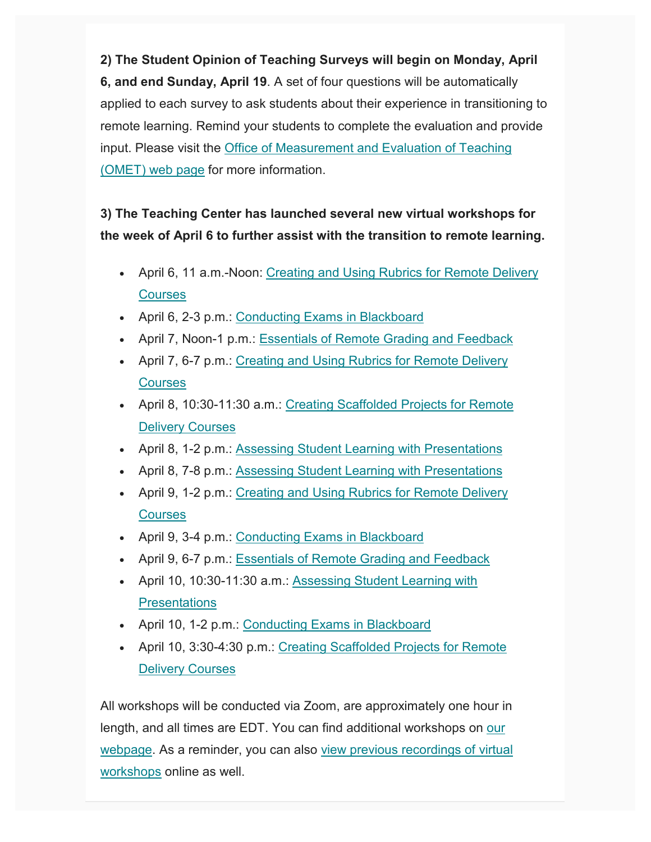**2) The Student Opinion of Teaching Surveys will begin on Monday, April 6, and end Sunday, April 19**. A set of four questions will be automatically applied to each survey to ask students about their experience in transitioning to remote learning. Remind your students to complete the evaluation and provide input. Please visit the [Office of Measurement and Evaluation of Teaching](https://nam05.safelinks.protection.outlook.com/?url=https%3A%2F%2Fpitt.us11.list-manage.com%2Ftrack%2Fclick%3Fu%3D7ffe6d64cc382ff1672f20448%26id%3D1c3f212971%26e%3Dde6041e250&data=02%7C01%7Cjoeg%40pitt.edu%7Ca8dac1807d724d1cb84c08d7d81bb792%7C9ef9f489e0a04eeb87cc3a526112fd0d%7C1%7C0%7C637215485867010383&sdata=byPVD75Ds8yiWxa9Sth8KS%2FfZMF1rJgVMeAra7EDO9Q%3D&reserved=0)  [\(OMET\) web page](https://nam05.safelinks.protection.outlook.com/?url=https%3A%2F%2Fpitt.us11.list-manage.com%2Ftrack%2Fclick%3Fu%3D7ffe6d64cc382ff1672f20448%26id%3D1c3f212971%26e%3Dde6041e250&data=02%7C01%7Cjoeg%40pitt.edu%7Ca8dac1807d724d1cb84c08d7d81bb792%7C9ef9f489e0a04eeb87cc3a526112fd0d%7C1%7C0%7C637215485867010383&sdata=byPVD75Ds8yiWxa9Sth8KS%2FfZMF1rJgVMeAra7EDO9Q%3D&reserved=0) for more information.

## **3) The Teaching Center has launched several new virtual workshops for the week of April 6 to further assist with the transition to remote learning.**

- April 6, 11 a.m.-Noon: Creating and Using Rubrics for Remote Delivery **[Courses](https://nam05.safelinks.protection.outlook.com/?url=https%3A%2F%2Fpitt.us11.list-manage.com%2Ftrack%2Fclick%3Fu%3D7ffe6d64cc382ff1672f20448%26id%3D943846bedc%26e%3Dde6041e250&data=02%7C01%7Cjoeg%40pitt.edu%7Ca8dac1807d724d1cb84c08d7d81bb792%7C9ef9f489e0a04eeb87cc3a526112fd0d%7C1%7C0%7C637215485867010383&sdata=8UKE56WN4RYD3cs4yHj%2FtjQxTQPTiwsLXDTgDHoU5w8%3D&reserved=0)**
- April 6, 2-3 p.m.: [Conducting Exams in Blackboard](https://nam05.safelinks.protection.outlook.com/?url=https%3A%2F%2Fpitt.us11.list-manage.com%2Ftrack%2Fclick%3Fu%3D7ffe6d64cc382ff1672f20448%26id%3Dd76ef2cbe3%26e%3Dde6041e250&data=02%7C01%7Cjoeg%40pitt.edu%7Ca8dac1807d724d1cb84c08d7d81bb792%7C9ef9f489e0a04eeb87cc3a526112fd0d%7C1%7C0%7C637215485867020374&sdata=oH23iyWXQ0ULj%2BrDjIX3x8OFCWBSLabEVLhGRPyiymQ%3D&reserved=0)
- April 7, Noon-1 p.m.: [Essentials of Remote Grading and Feedback](https://nam05.safelinks.protection.outlook.com/?url=https%3A%2F%2Fpitt.us11.list-manage.com%2Ftrack%2Fclick%3Fu%3D7ffe6d64cc382ff1672f20448%26id%3D0f22a13715%26e%3Dde6041e250&data=02%7C01%7Cjoeg%40pitt.edu%7Ca8dac1807d724d1cb84c08d7d81bb792%7C9ef9f489e0a04eeb87cc3a526112fd0d%7C1%7C0%7C637215485867020374&sdata=14J3Xpmp9hgURFSEalTmfTJEEUmmxUJVYBpqq79P5fM%3D&reserved=0)
- April 7, 6-7 p.m.: Creating and Using Rubrics for Remote Delivery **[Courses](https://nam05.safelinks.protection.outlook.com/?url=https%3A%2F%2Fpitt.us11.list-manage.com%2Ftrack%2Fclick%3Fu%3D7ffe6d64cc382ff1672f20448%26id%3D47eb14ac96%26e%3Dde6041e250&data=02%7C01%7Cjoeg%40pitt.edu%7Ca8dac1807d724d1cb84c08d7d81bb792%7C9ef9f489e0a04eeb87cc3a526112fd0d%7C1%7C0%7C637215485867020374&sdata=IAeaSggWmQ8oQ4kKFsjXNCWrxFmcH2lhb9g6eYT58eY%3D&reserved=0)**
- April 8, 10:30-11:30 a.m.: [Creating Scaffolded Projects for Remote](https://nam05.safelinks.protection.outlook.com/?url=https%3A%2F%2Fpitt.us11.list-manage.com%2Ftrack%2Fclick%3Fu%3D7ffe6d64cc382ff1672f20448%26id%3D7f5d73e786%26e%3Dde6041e250&data=02%7C01%7Cjoeg%40pitt.edu%7Ca8dac1807d724d1cb84c08d7d81bb792%7C9ef9f489e0a04eeb87cc3a526112fd0d%7C1%7C0%7C637215485867030376&sdata=6g4giD%2B3aPtJ6r4Z1HBPu8x%2B0PZvAdwA8M3YKreyPg0%3D&reserved=0)  [Delivery Courses](https://nam05.safelinks.protection.outlook.com/?url=https%3A%2F%2Fpitt.us11.list-manage.com%2Ftrack%2Fclick%3Fu%3D7ffe6d64cc382ff1672f20448%26id%3D7f5d73e786%26e%3Dde6041e250&data=02%7C01%7Cjoeg%40pitt.edu%7Ca8dac1807d724d1cb84c08d7d81bb792%7C9ef9f489e0a04eeb87cc3a526112fd0d%7C1%7C0%7C637215485867030376&sdata=6g4giD%2B3aPtJ6r4Z1HBPu8x%2B0PZvAdwA8M3YKreyPg0%3D&reserved=0)
- April 8, 1-2 p.m.: [Assessing Student Learning with Presentations](https://nam05.safelinks.protection.outlook.com/?url=https%3A%2F%2Fpitt.us11.list-manage.com%2Ftrack%2Fclick%3Fu%3D7ffe6d64cc382ff1672f20448%26id%3D1c55c14fab%26e%3Dde6041e250&data=02%7C01%7Cjoeg%40pitt.edu%7Ca8dac1807d724d1cb84c08d7d81bb792%7C9ef9f489e0a04eeb87cc3a526112fd0d%7C1%7C0%7C637215485867030376&sdata=FfiX%2BIkvP1UGdf5Bm4oudVERolXHwJv8O9jg%2FLI49zM%3D&reserved=0)
- April 8, 7-8 p.m.: [Assessing Student Learning with Presentations](https://nam05.safelinks.protection.outlook.com/?url=https%3A%2F%2Fpitt.us11.list-manage.com%2Ftrack%2Fclick%3Fu%3D7ffe6d64cc382ff1672f20448%26id%3Dccc181b660%26e%3Dde6041e250&data=02%7C01%7Cjoeg%40pitt.edu%7Ca8dac1807d724d1cb84c08d7d81bb792%7C9ef9f489e0a04eeb87cc3a526112fd0d%7C1%7C0%7C637215485867040364&sdata=9LR1fAMDVEDA0jgkBZDLldfS5lbJYjVNq%2BEdOKpMqgI%3D&reserved=0)
- April 9, 1-2 p.m.: Creating and Using Rubrics for Remote Delivery **[Courses](https://nam05.safelinks.protection.outlook.com/?url=https%3A%2F%2Fpitt.us11.list-manage.com%2Ftrack%2Fclick%3Fu%3D7ffe6d64cc382ff1672f20448%26id%3D646dbd38fb%26e%3Dde6041e250&data=02%7C01%7Cjoeg%40pitt.edu%7Ca8dac1807d724d1cb84c08d7d81bb792%7C9ef9f489e0a04eeb87cc3a526112fd0d%7C1%7C0%7C637215485867040364&sdata=Fh7b5xXtOuKFsAcFJLTuhsJdS465JgEBstUObb2eL5c%3D&reserved=0)**
- April 9, 3-4 p.m.: [Conducting Exams in Blackboard](https://nam05.safelinks.protection.outlook.com/?url=https%3A%2F%2Fpitt.us11.list-manage.com%2Ftrack%2Fclick%3Fu%3D7ffe6d64cc382ff1672f20448%26id%3Dad490000e8%26e%3Dde6041e250&data=02%7C01%7Cjoeg%40pitt.edu%7Ca8dac1807d724d1cb84c08d7d81bb792%7C9ef9f489e0a04eeb87cc3a526112fd0d%7C1%7C0%7C637215485867050360&sdata=ig8JEhacuCgO4wjZRP3Pyzs85HUcL5laWKTB5u1oLMY%3D&reserved=0)
- April 9, 6-7 p.m.: [Essentials of Remote Grading and Feedback](https://nam05.safelinks.protection.outlook.com/?url=https%3A%2F%2Fpitt.us11.list-manage.com%2Ftrack%2Fclick%3Fu%3D7ffe6d64cc382ff1672f20448%26id%3D8eae3c5766%26e%3Dde6041e250&data=02%7C01%7Cjoeg%40pitt.edu%7Ca8dac1807d724d1cb84c08d7d81bb792%7C9ef9f489e0a04eeb87cc3a526112fd0d%7C1%7C0%7C637215485867050360&sdata=SSTikDCoNIk6eYJvZLo%2BcSUnKH%2FrgQ8NrdJo2S1KpE8%3D&reserved=0)
- April 10, 10:30-11:30 a.m.: Assessing Student Learning with **[Presentations](https://nam05.safelinks.protection.outlook.com/?url=https%3A%2F%2Fpitt.us11.list-manage.com%2Ftrack%2Fclick%3Fu%3D7ffe6d64cc382ff1672f20448%26id%3D2c77d33b9e%26e%3Dde6041e250&data=02%7C01%7Cjoeg%40pitt.edu%7Ca8dac1807d724d1cb84c08d7d81bb792%7C9ef9f489e0a04eeb87cc3a526112fd0d%7C1%7C0%7C637215485867060361&sdata=%2BfAWjwj4Ek63lsvmQQU3vYIZHHTWN7De7uxcGVEPBXg%3D&reserved=0)**
- April 10, 1-2 p.m.: [Conducting Exams in Blackboard](https://nam05.safelinks.protection.outlook.com/?url=https%3A%2F%2Fpitt.us11.list-manage.com%2Ftrack%2Fclick%3Fu%3D7ffe6d64cc382ff1672f20448%26id%3Df5d0125401%26e%3Dde6041e250&data=02%7C01%7Cjoeg%40pitt.edu%7Ca8dac1807d724d1cb84c08d7d81bb792%7C9ef9f489e0a04eeb87cc3a526112fd0d%7C1%7C0%7C637215485867060361&sdata=MIK1DXm0wvodlu43YXMlJKf5IkUMdU0LAXORYIbUTTg%3D&reserved=0)
- April 10, 3:30-4:30 p.m.: Creating Scaffolded Projects for Remote [Delivery Courses](https://nam05.safelinks.protection.outlook.com/?url=https%3A%2F%2Fpitt.us11.list-manage.com%2Ftrack%2Fclick%3Fu%3D7ffe6d64cc382ff1672f20448%26id%3D7af0351d58%26e%3Dde6041e250&data=02%7C01%7Cjoeg%40pitt.edu%7Ca8dac1807d724d1cb84c08d7d81bb792%7C9ef9f489e0a04eeb87cc3a526112fd0d%7C1%7C0%7C637215485867060361&sdata=1YTIFqRuFW8WqXMWcX8x2ECZCiMz%2BASocxbXa9Ai4po%3D&reserved=0)

All workshops will be conducted via Zoom, are approximately one hour in length, and all times are EDT. You can find additional workshops on [our](https://nam05.safelinks.protection.outlook.com/?url=https%3A%2F%2Fpitt.us11.list-manage.com%2Ftrack%2Fclick%3Fu%3D7ffe6d64cc382ff1672f20448%26id%3D740e12ae94%26e%3Dde6041e250&data=02%7C01%7Cjoeg%40pitt.edu%7Ca8dac1807d724d1cb84c08d7d81bb792%7C9ef9f489e0a04eeb87cc3a526112fd0d%7C1%7C0%7C637215485867070356&sdata=qYyfjvckPb8pzTi%2FC2HS5tkoL4Ym82jesWQZCjdW8TI%3D&reserved=0)  [webpage.](https://nam05.safelinks.protection.outlook.com/?url=https%3A%2F%2Fpitt.us11.list-manage.com%2Ftrack%2Fclick%3Fu%3D7ffe6d64cc382ff1672f20448%26id%3D740e12ae94%26e%3Dde6041e250&data=02%7C01%7Cjoeg%40pitt.edu%7Ca8dac1807d724d1cb84c08d7d81bb792%7C9ef9f489e0a04eeb87cc3a526112fd0d%7C1%7C0%7C637215485867070356&sdata=qYyfjvckPb8pzTi%2FC2HS5tkoL4Ym82jesWQZCjdW8TI%3D&reserved=0) As a reminder, you can also [view previous recordings of virtual](https://nam05.safelinks.protection.outlook.com/?url=https%3A%2F%2Fpitt.us11.list-manage.com%2Ftrack%2Fclick%3Fu%3D7ffe6d64cc382ff1672f20448%26id%3D27e3bfacb4%26e%3Dde6041e250&data=02%7C01%7Cjoeg%40pitt.edu%7Ca8dac1807d724d1cb84c08d7d81bb792%7C9ef9f489e0a04eeb87cc3a526112fd0d%7C1%7C0%7C637215485867070356&sdata=Hmj7mlwMcx5d1NdKNnjetn715iaRf3sxsgX4qTFWaJ4%3D&reserved=0)  [workshops](https://nam05.safelinks.protection.outlook.com/?url=https%3A%2F%2Fpitt.us11.list-manage.com%2Ftrack%2Fclick%3Fu%3D7ffe6d64cc382ff1672f20448%26id%3D27e3bfacb4%26e%3Dde6041e250&data=02%7C01%7Cjoeg%40pitt.edu%7Ca8dac1807d724d1cb84c08d7d81bb792%7C9ef9f489e0a04eeb87cc3a526112fd0d%7C1%7C0%7C637215485867070356&sdata=Hmj7mlwMcx5d1NdKNnjetn715iaRf3sxsgX4qTFWaJ4%3D&reserved=0) online as well.